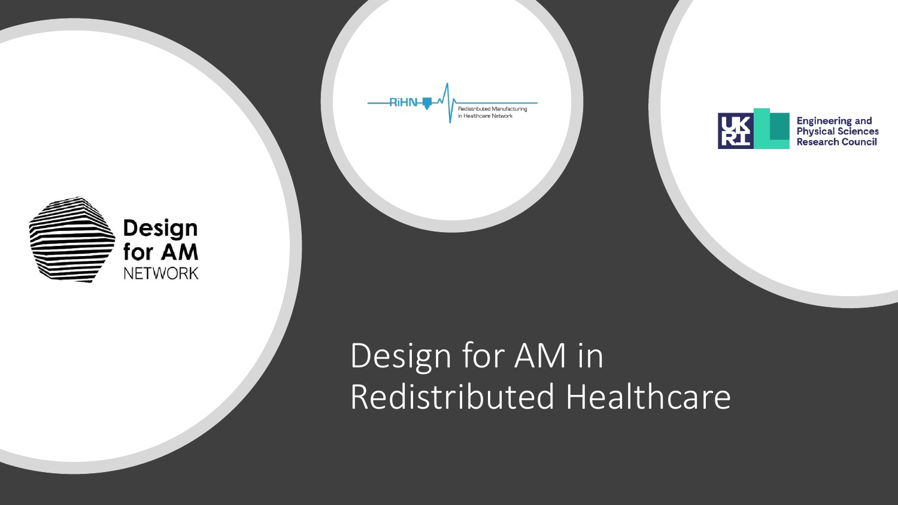





Engineering and<br>Physical Sciences<br>Research Council

# Design for AM in Redistributed Healthcare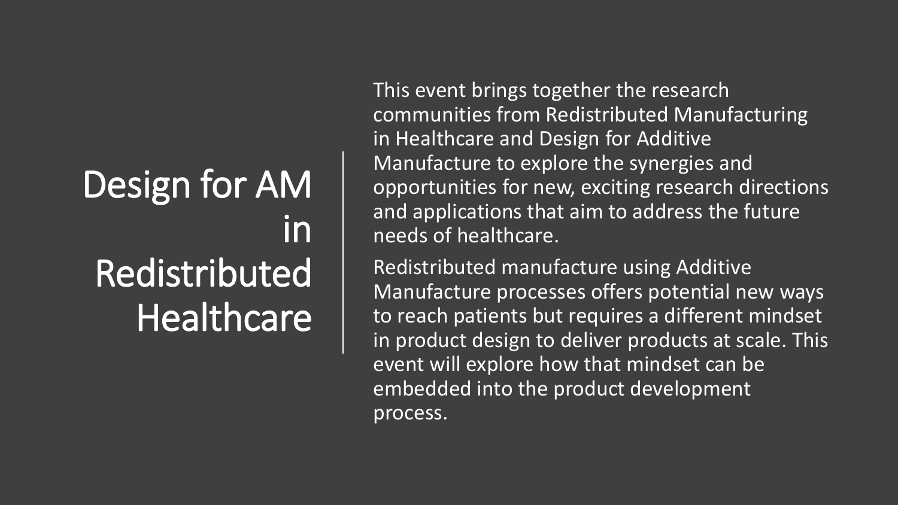# Design for AM in Redistributed Healthcare

This event brings together the research communities from Redistributed Manufacturing in Healthcare and Design for Additive Manufacture to explore the synergies and opportunities for new, exciting research directions and applications that aim to address the future needs of healthcare.

Redistributed manufacture using Additive Manufacture processes offers potential new ways to reach patients but requires a different mindset in product design to deliver products at scale. This event will explore how that mindset can be embedded into the product development process.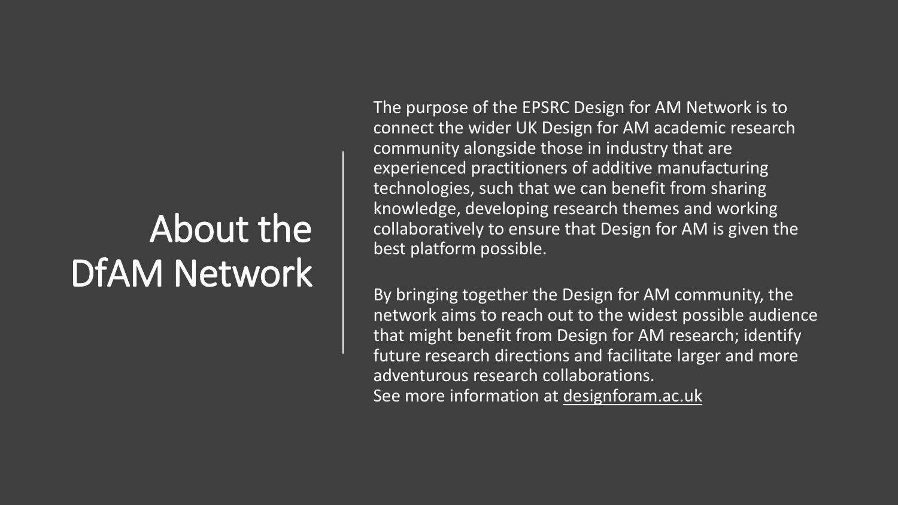# About the DfAM Network

The purpose of the EPSRC Design for AM Network is to connect the wider UK Design for AM academic research community alongside those in industry that are experienced practitioners of additive manufacturing technologies, such that we can benefit from sharing knowledge, developing research themes and working collaboratively to ensure that Design for AM is given the best platform possible.

By bringing together the Design for AM community, the network aims to reach out to the widest possible audience that might benefit from Design for AM research; identify future research directions and facilitate larger and more adventurous research collaborations. See more information at [designforam.ac.uk](https://www.designforam.ac.uk/)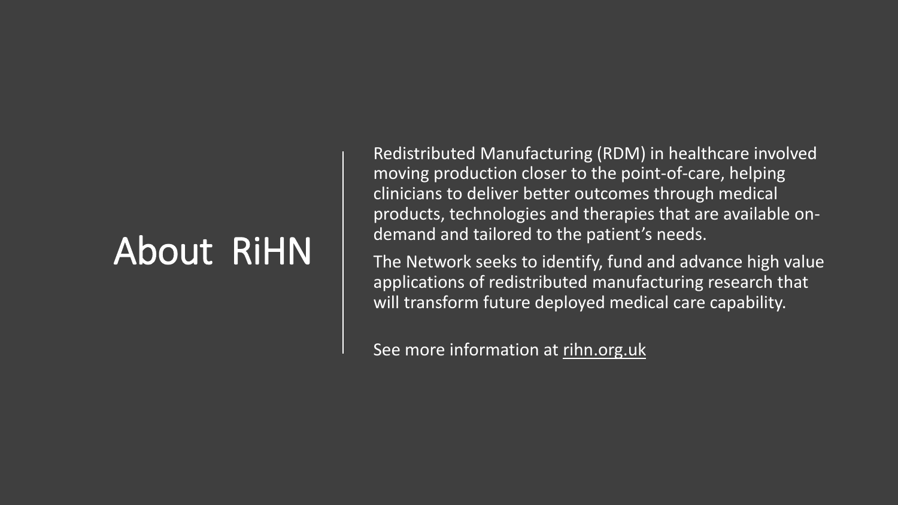# About RiHN

Redistributed Manufacturing (RDM) in healthcare involved moving production closer to the point-of-care, helping clinicians to deliver better outcomes through medical products, technologies and therapies that are available ondemand and tailored to the patient's needs.

The Network seeks to identify, fund and advance high value applications of redistributed manufacturing research that will transform future deployed medical care capability.

See more information at [rihn.org.uk](https://rihn.org.uk/)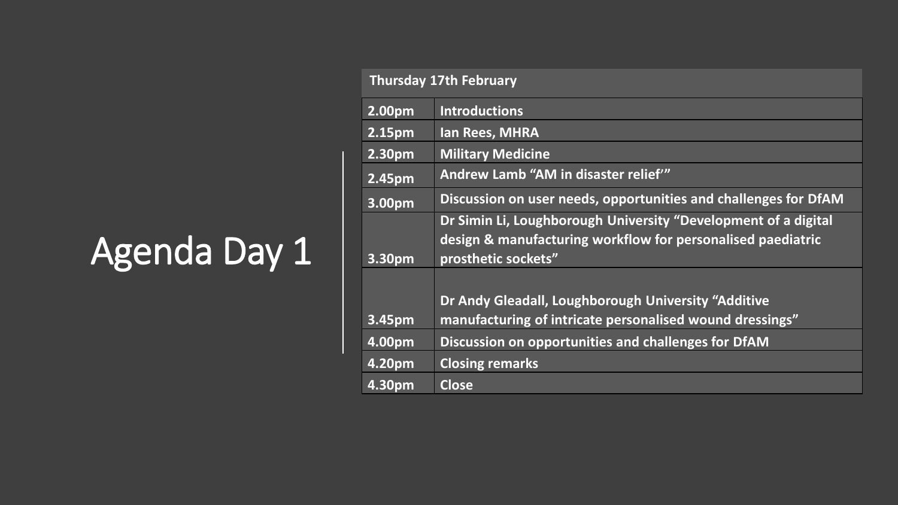# Agenda Day 1

| <b>Thursday 17th February</b> |                                                                                                                                                      |
|-------------------------------|------------------------------------------------------------------------------------------------------------------------------------------------------|
| 2.00pm                        | <b>Introductions</b>                                                                                                                                 |
| 2.15pm                        | <b>Ian Rees, MHRA</b>                                                                                                                                |
| 2.30pm                        | <b>Military Medicine</b>                                                                                                                             |
| 2.45pm                        | Andrew Lamb "AM in disaster relief"                                                                                                                  |
| 3.00pm                        | Discussion on user needs, opportunities and challenges for DfAM                                                                                      |
| 3.30pm                        | Dr Simin Li, Loughborough University "Development of a digital<br>design & manufacturing workflow for personalised paediatric<br>prosthetic sockets" |
| 3.45pm                        | Dr Andy Gleadall, Loughborough University "Additive<br>manufacturing of intricate personalised wound dressings"                                      |
| 4.00pm                        | Discussion on opportunities and challenges for DfAM                                                                                                  |
| 4.20pm                        | <b>Closing remarks</b>                                                                                                                               |
| 4.30pm                        | <b>Close</b>                                                                                                                                         |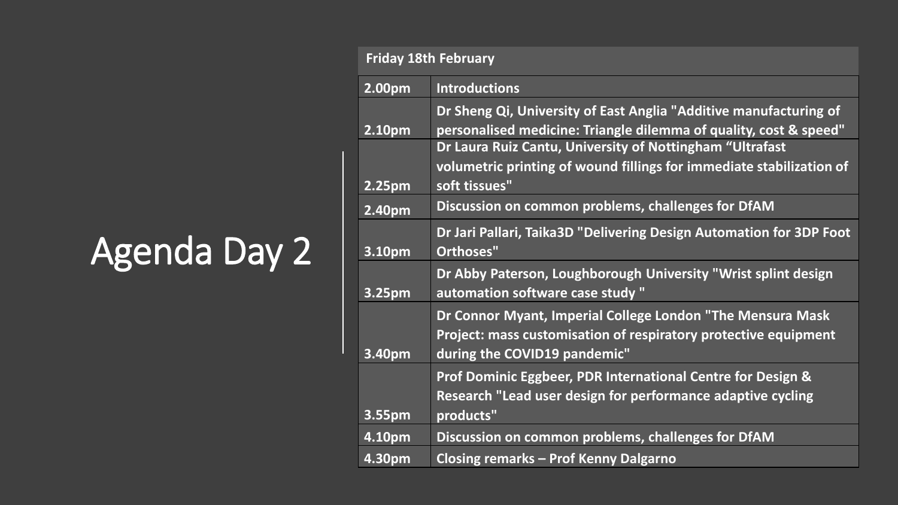# Agenda Day 2

| <b>Friday 18th February</b> |                                                                                                                                                               |
|-----------------------------|---------------------------------------------------------------------------------------------------------------------------------------------------------------|
| 2.00pm                      | <b>Introductions</b>                                                                                                                                          |
| 2.10pm                      | Dr Sheng Qi, University of East Anglia "Additive manufacturing of<br>personalised medicine: Triangle dilemma of quality, cost & speed"                        |
| 2.25pm                      | Dr Laura Ruiz Cantu, University of Nottingham "Ultrafast<br>volumetric printing of wound fillings for immediate stabilization of<br>soft tissues"             |
| 2.40pm                      | Discussion on common problems, challenges for DfAM                                                                                                            |
| 3.10pm                      | Dr Jari Pallari, Taika3D "Delivering Design Automation for 3DP Foot<br>Orthoses"                                                                              |
| 3.25pm                      | Dr Abby Paterson, Loughborough University "Wrist splint design<br>automation software case study "                                                            |
| 3.40pm                      | Dr Connor Myant, Imperial College London "The Mensura Mask<br>Project: mass customisation of respiratory protective equipment<br>during the COVID19 pandemic" |
| 3.55pm                      | Prof Dominic Eggbeer, PDR International Centre for Design &<br>Research "Lead user design for performance adaptive cycling<br>products"                       |
| 4.10pm                      | Discussion on common problems, challenges for DfAM                                                                                                            |
| 4.30pm                      | <b>Closing remarks - Prof Kenny Dalgarno</b>                                                                                                                  |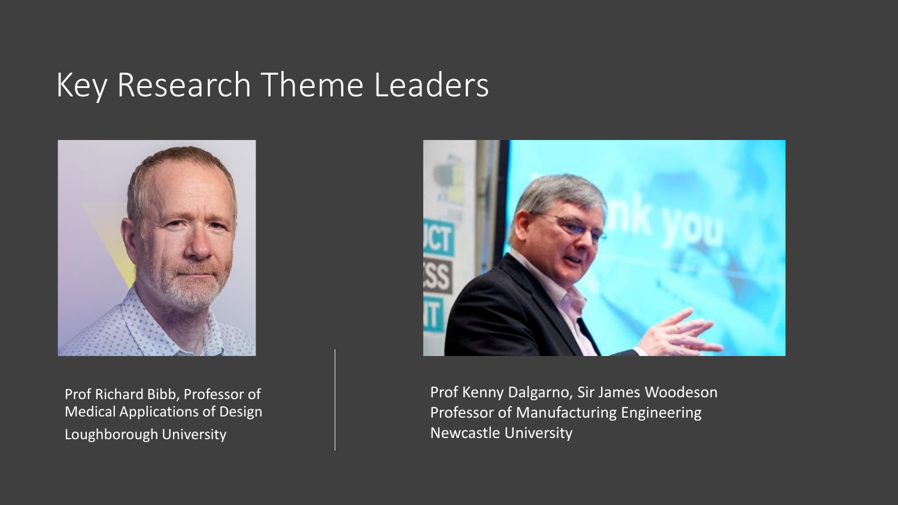# Key Research Theme Leaders



Prof Richard Bibb, Professor of Medical Applications of Design Loughborough University



Prof Kenny Dalgarno, Sir James Woodeson Professor of Manufacturing Engineering Newcastle University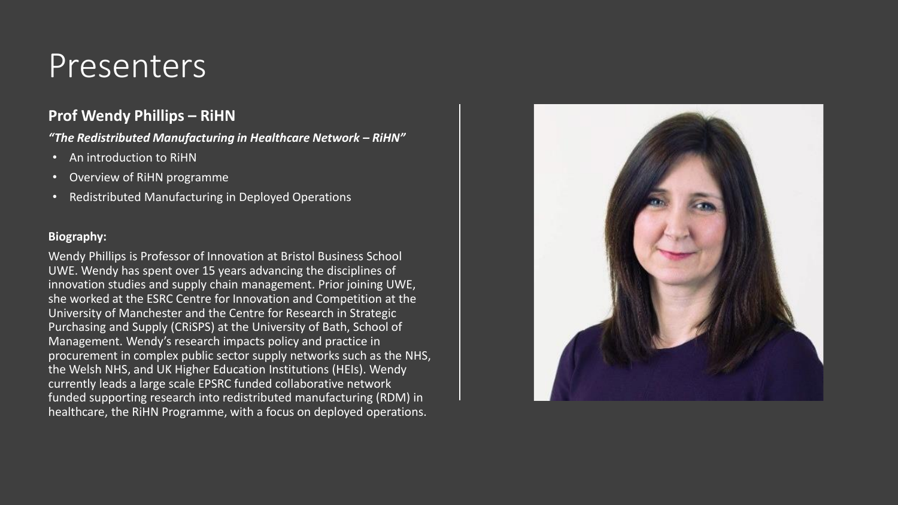### **Prof Wendy Phillips – RiHN**

*"The Redistributed Manufacturing in Healthcare Network – RiHN"*

- An introduction to RiHN
- Overview of RiHN programme
- Redistributed Manufacturing in Deployed Operations

#### **Biography:**

Wendy Phillips is Professor of Innovation at Bristol Business School UWE. Wendy has spent over 15 years advancing the disciplines of innovation studies and supply chain management. Prior joining UWE, she worked at the ESRC Centre for Innovation and Competition at the University of Manchester and the Centre for Research in Strategic Purchasing and Supply (CRiSPS) at the University of Bath, School of Management. Wendy's research impacts policy and practice in procurement in complex public sector supply networks such as the NHS, the Welsh NHS, and UK Higher Education Institutions (HEIs). Wendy currently leads a large scale EPSRC funded collaborative network funded supporting research into redistributed manufacturing (RDM) in healthcare, the RiHN Programme, with a focus on deployed operations.

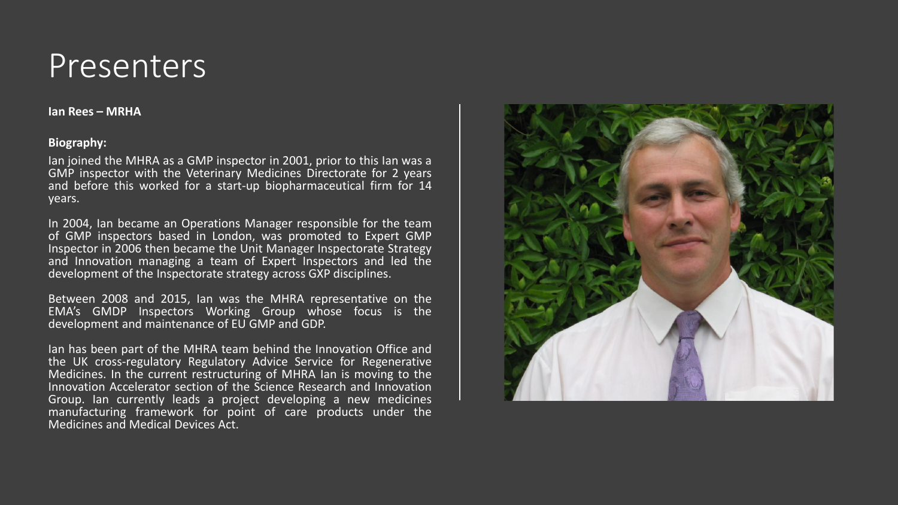**Ian Rees – MRHA**

#### **Biography:**

Ian joined the MHRA as a GMP inspector in 2001, prior to this Ian was a GMP inspector with the Veterinary Medicines Directorate for 2 years and before this worked for a start-up biopharmaceutical firm for 14 years.

In 2004, Ian became an Operations Manager responsible for the team of GMP inspectors based in London, was promoted to Expert GMP Inspector in 2006 then became the Unit Manager Inspectorate Strategy and Innovation managing a team of Expert Inspectors and led the development of the Inspectorate strategy across GXP disciplines.

Between 2008 and 2015, Ian was the MHRA representative on the EMA's GMDP Inspectors Working Group whose focus is the development and maintenance of EU GMP and GDP.

Ian has been part of the MHRA team behind the Innovation Office and the UK cross-regulatory Regulatory Advice Service for Regenerative Medicines. In the current restructuring of MHRA Ian is moving to the Innovation Accelerator section of the Science Research and Innovation Group. Ian currently leads a project developing a new medicines manufacturing framework for point of care products under the Medicines and Medical Devices Act.

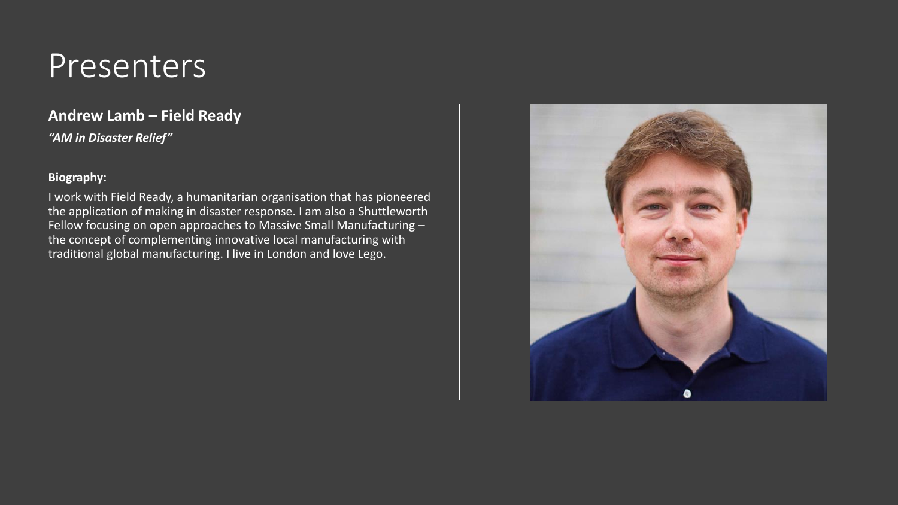### **Andrew Lamb – Field Ready**

*"AM in Disaster Relief"*

#### **Biography:**

I work with Field Ready, a humanitarian organisation that has pioneered the application of making in disaster response. I am also a Shuttleworth Fellow focusing on open approaches to Massive Small Manufacturing – the concept of complementing innovative local manufacturing with traditional global manufacturing. I live in London and love Lego.

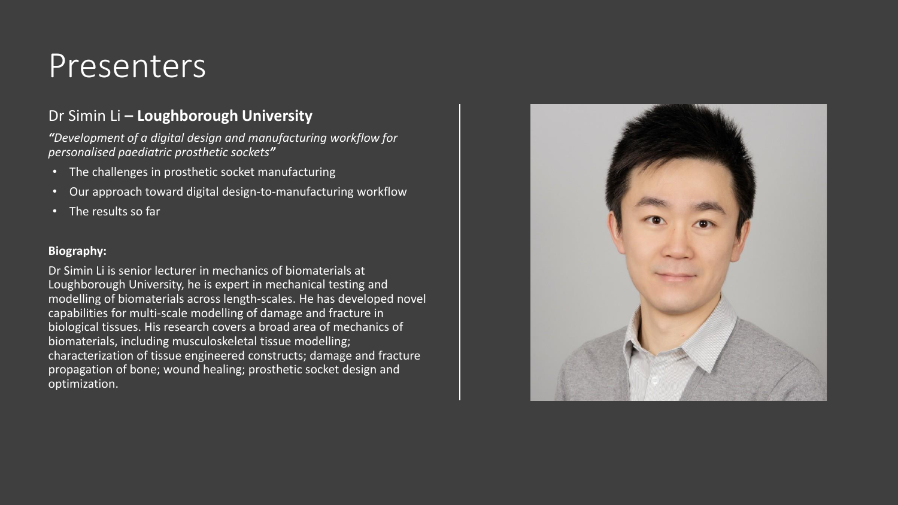### Dr Simin Li **– Loughborough University**

*"Development of a digital design and manufacturing workflow for personalised paediatric prosthetic sockets"*

- The challenges in prosthetic socket manufacturing
- Our approach toward digital design-to-manufacturing workflow
- The results so far

#### **Biography:**

Dr Simin Li is senior lecturer in mechanics of biomaterials at Loughborough University, he is expert in mechanical testing and modelling of biomaterials across length-scales. He has developed novel capabilities for multi-scale modelling of damage and fracture in biological tissues. His research covers a broad area of mechanics of biomaterials, including musculoskeletal tissue modelling; characterization of tissue engineered constructs; damage and fracture propagation of bone; wound healing; prosthetic socket design and optimization.

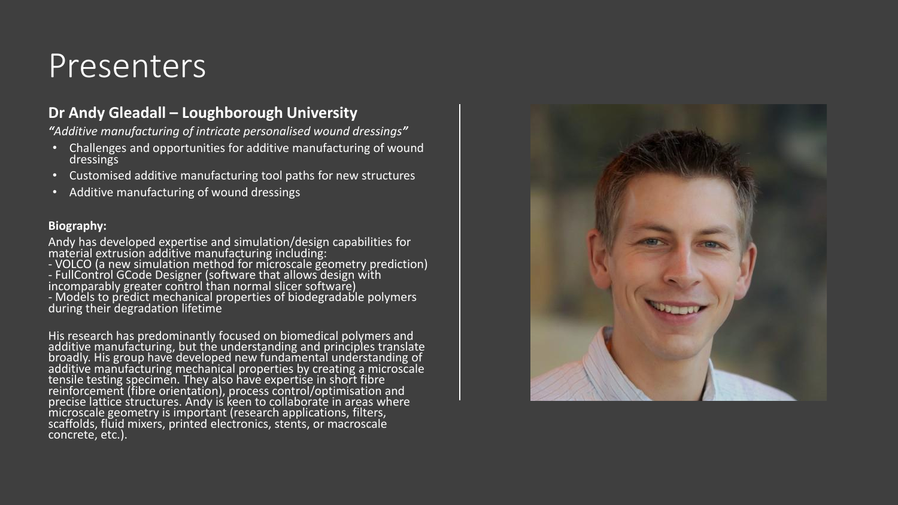### **Dr Andy Gleadall – Loughborough University**

*"Additive manufacturing of intricate personalised wound dressings"*

- Challenges and opportunities for additive manufacturing of wound dressings
- Customised additive manufacturing tool paths for new structures
- Additive manufacturing of wound dressings

#### **Biography:**

Andy has developed expertise and simulation/design capabilities for material extrusion additive manufacturing including:

- VOLCO (a new simulation method for microscale geometry prediction)

- FullControl GCode Designer (software that allows design with incomparably greater control than normal slicer software)

- Models to predict mechanical properties of biodegradable polymers during their degradation lifetime

His research has predominantly focused on biomedical polymers and additive manufacturing, but the understanding and principles translate broadly. His group have developed new fundamental understanding of additive manufacturing mechanical properties by creating a microscale tensile testing specimen. They also have expertise in short fibre reinforcement (fibre orientation), process control/optimisation and precise lattice structures. Andy is keen to collaborate in areas where microscale geometry is important (research applications, filters, scaffolds, fluid mixers, printed electronics, stents, or macroscale concrete, etc.).

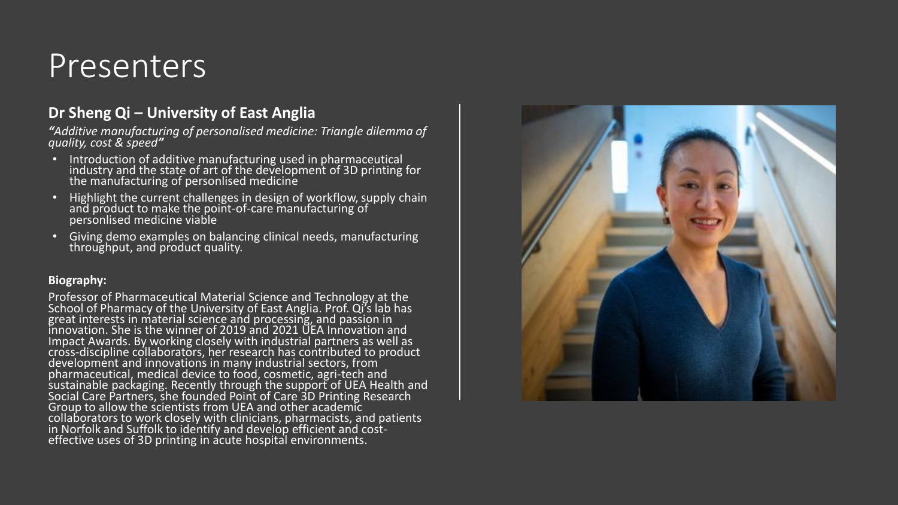### **Dr Sheng Qi – University of East Anglia**

*"Additive manufacturing of personalised medicine: Triangle dilemma of quality, cost & speed"*

- Introduction of additive manufacturing used in pharmaceutical industry and the state of art of the development of 3D printing for the manufacturing of personlised medicine
- Highlight the current challenges in design of workflow, supply chain and product to make the point-of-care manufacturing of personlised medicine viable
- Giving demo examples on balancing clinical needs, manufacturing throughput, and product quality.

#### **Biography:**

Professor of Pharmaceutical Material Science and Technology at the School of Pharmacy of the University of East Anglia. Prof. Qi's lab has great interests in material science and processing, and passion in innovation. She is the winner of 2019 and 2021 UEA Innovation and Impact Awards. By working closely with industrial partners as well as cross-discipline collaborators, her research has contributed to product development and innovations in many industrial sectors, from pharmaceutical, medical device to food, cosmetic, agri-tech and sustainable packaging. Recently through the support of UEA Health and Social Care Partners, she founded Point of Care 3D Printing Research Group to allow the scientists from UEA and other academic collaborators to work closely with clinicians, pharmacists, and patients in Norfolk and Suffolk to identify and develop efficient and costeffective uses of 3D printing in acute hospital environments.

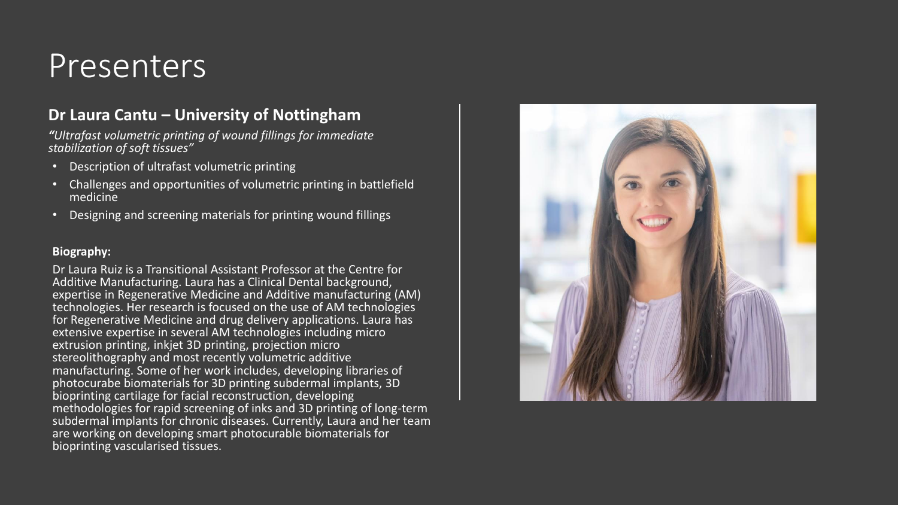### **Dr Laura Cantu – University of Nottingham**

*"Ultrafast volumetric printing of wound fillings for immediate stabilization of soft tissues"*

- Description of ultrafast volumetric printing
- Challenges and opportunities of volumetric printing in battlefield medicine
- Designing and screening materials for printing wound fillings

#### **Biography:**

Dr Laura Ruiz is a Transitional Assistant Professor at the Centre for Additive Manufacturing. Laura has a Clinical Dental background, expertise in Regenerative Medicine and Additive manufacturing (AM) technologies. Her research is focused on the use of AM technologies for Regenerative Medicine and drug delivery applications. Laura has extensive expertise in several AM technologies including micro extrusion printing, inkjet 3D printing, projection micro stereolithography and most recently volumetric additive manufacturing. Some of her work includes, developing libraries of photocurabe biomaterials for 3D printing subdermal implants, 3D bioprinting cartilage for facial reconstruction, developing methodologies for rapid screening of inks and 3D printing of long-term subdermal implants for chronic diseases. Currently, Laura and her team are working on developing smart photocurable biomaterials for bioprinting vascularised tissues.

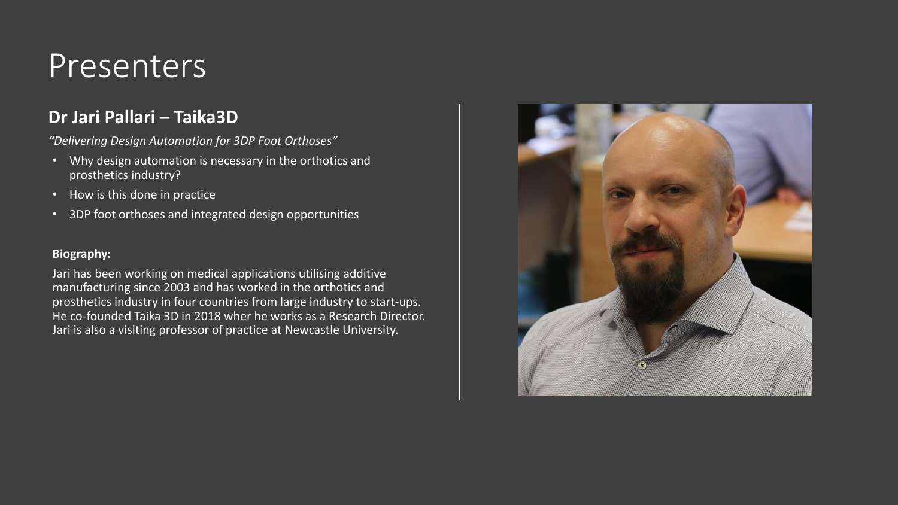### **Dr Jari Pallari – Taika3D**

*"Delivering Design Automation for 3DP Foot Orthoses"*

- Why design automation is necessary in the orthotics and prosthetics industry?
- How is this done in practice
- 3DP foot orthoses and integrated design opportunities

#### **Biography:**

Jari has been working on medical applications utilising additive manufacturing since 2003 and has worked in the orthotics and prosthetics industry in four countries from large industry to start-ups. He co-founded Taika 3D in 2018 wher he works as a Research Director. Jari is also a visiting professor of practice at Newcastle University.

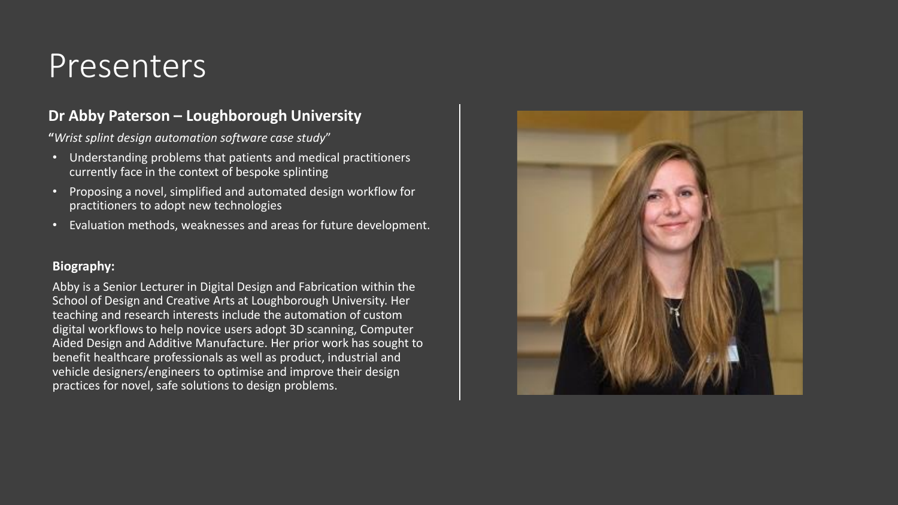### **Dr Abby Paterson – Loughborough University**

**"***Wrist splint design automation software case study*"

- Understanding problems that patients and medical practitioners currently face in the context of bespoke splinting
- Proposing a novel, simplified and automated design workflow for practitioners to adopt new technologies
- Evaluation methods, weaknesses and areas for future development.

#### **Biography:**

Abby is a Senior Lecturer in Digital Design and Fabrication within the School of Design and Creative Arts at Loughborough University. Her teaching and research interests include the automation of custom digital workflows to help novice users adopt 3D scanning, Computer Aided Design and Additive Manufacture. Her prior work has sought to benefit healthcare professionals as well as product, industrial and vehicle designers/engineers to optimise and improve their design practices for novel, safe solutions to design problems.

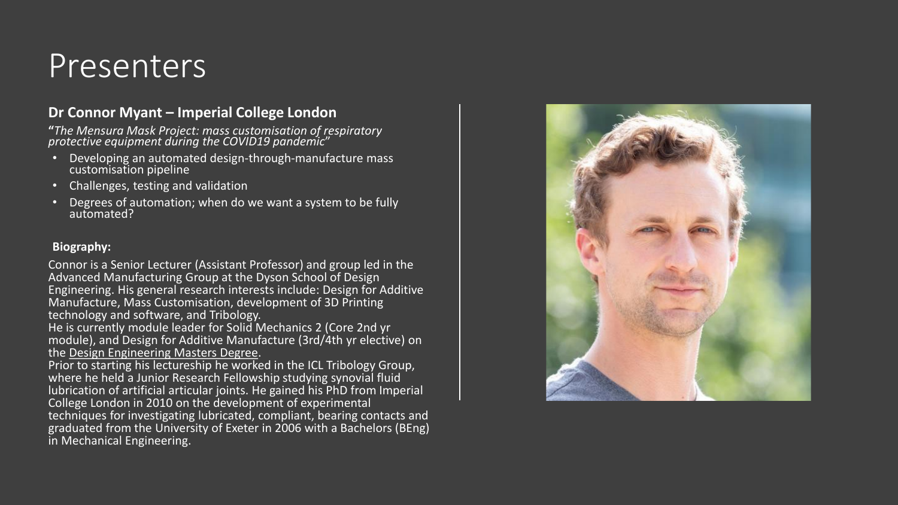#### **Dr Connor Myant – Imperial College London**

**"***The Mensura Mask Project: mass customisation of respiratory protective equipment during the COVID19 pandemic*"

- Developing an automated design-through-manufacture mass customisation pipeline
- Challenges, testing and validation
- Degrees of automation; when do we want a system to be fully automated?

#### **Biography:**

Connor is a Senior Lecturer (Assistant Professor) and group led in the Advanced Manufacturing Group at the Dyson School of Design Engineering. His general research interests include: Design for Additive Manufacture, Mass Customisation, development of 3D Printing technology and software, and Tribology.

He is currently module leader for Solid Mechanics 2 (Core 2nd yr module), and Design for Additive Manufacture (3rd/4th yr elective) on the [Design Engineering Masters Degree.](http://www.imperial.ac.uk/design-engineering/study/meng/)

Prior to starting his lectureship he worked in the ICL Tribology Group, where he held a Junior Research Fellowship studying synovial fluid lubrication of artificial articular joints. He gained his PhD from Imperial College London in 2010 on the development of experimental techniques for investigating lubricated, compliant, bearing contacts and graduated from the University of Exeter in 2006 with a Bachelors (BEng) in Mechanical Engineering.

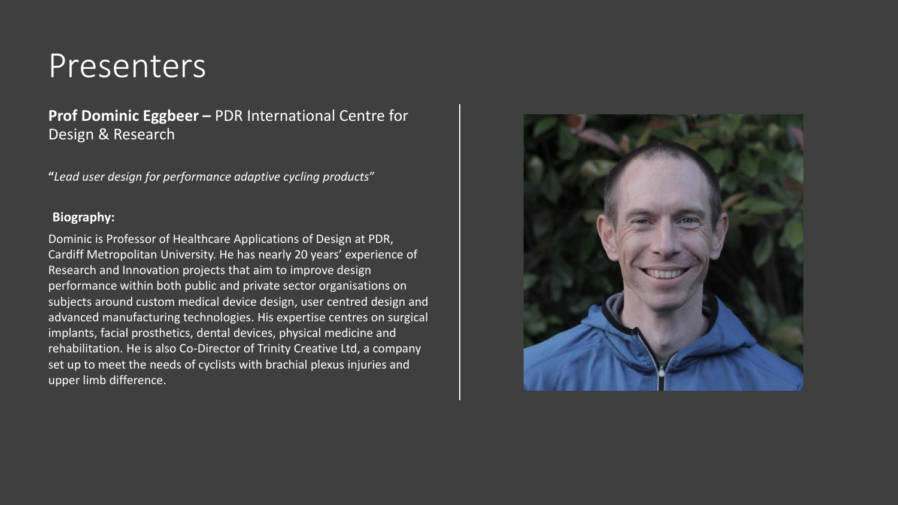**Prof Dominic Eggbeer –** PDR International Centre for Design & Research

**"***Lead user design for performance adaptive cycling products*"

#### **Biography:**

Dominic is Professor of Healthcare Applications of Design at PDR, Cardiff Metropolitan University. He has nearly 20 years' experience of Research and Innovation projects that aim to improve design performance within both public and private sector organisations on subjects around custom medical device design, user centred design and advanced manufacturing technologies. His expertise centres on surgical implants, facial prosthetics, dental devices, physical medicine and rehabilitation. He is also Co-Director of Trinity Creative Ltd, a company set up to meet the needs of cyclists with brachial plexus injuries and upper limb difference.